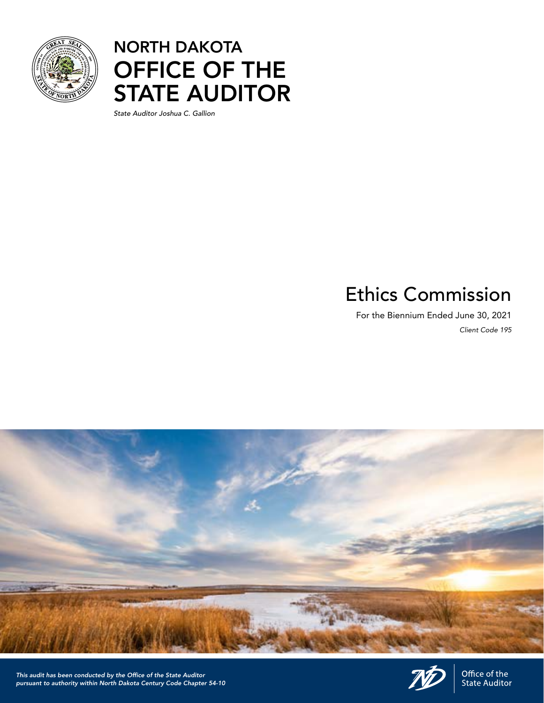

### NORTH DAKOTA OFFICE OF THE STATE AUDITOR

*State Auditor Joshua C. Gallion*

## Ethics Commission

For the Biennium Ended June 30, 2021 *Client Code 195*





Office of the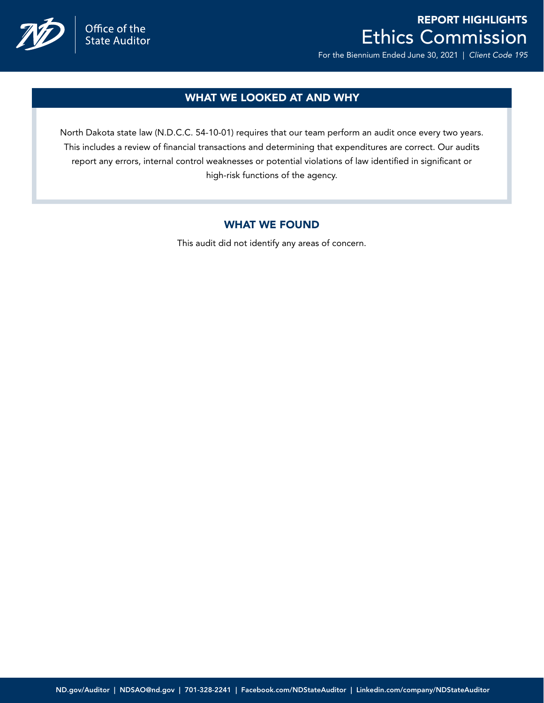

## Office of the<br>State Auditor

### REPORT HIGHLIGHTS Ethics Commission

For the Biennium Ended June 30, 2021 | *Client Code 195*

### WHAT WE LOOKED AT AND WHY

North Dakota state law (N.D.C.C. 54-10-01) requires that our team perform an audit once every two years. This includes a review of financial transactions and determining that expenditures are correct. Our audits report any errors, internal control weaknesses or potential violations of law identified in significant or high-risk functions of the agency.

### WHAT WE FOUND

This audit did not identify any areas of concern.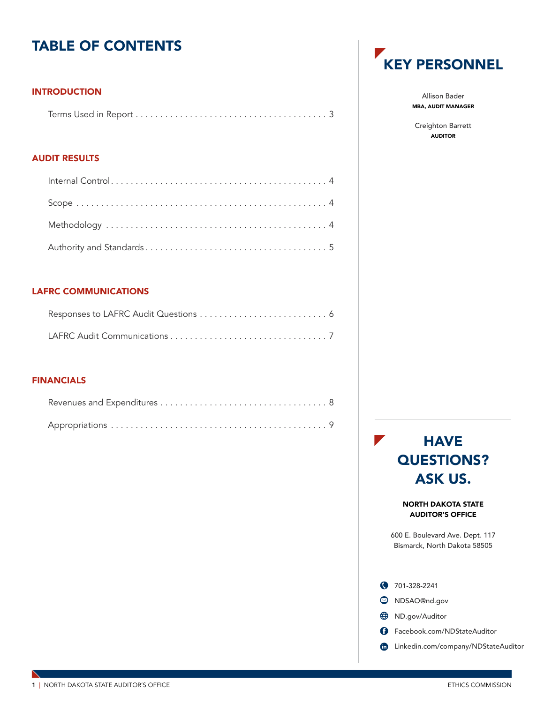### TABLE OF CONTENTS

### INTRODUCTION

### AUDIT RESULTS

### LAFRC COMMUNICATIONS

### FINANCIALS



Allison Bader MBA, AUDIT MANAGER

Creighton Barrett AUDITOR

 $\mathbb Z$ **HAVE** QUESTIONS? ASK US.

> NORTH DAKOTA STATE AUDITOR'S OFFICE

600 E. Boulevard Ave. Dept. 117 Bismarck, North Dakota 58505

|      | ◯ 701-328-2241                      |
|------|-------------------------------------|
|      | S NDSAO@nd.gov                      |
| ⇔    | ND.gov/Auditor                      |
| 63   | Facebook.com/NDStateAuditor         |
| (in) | Linkedin.com/company/NDStateAuditor |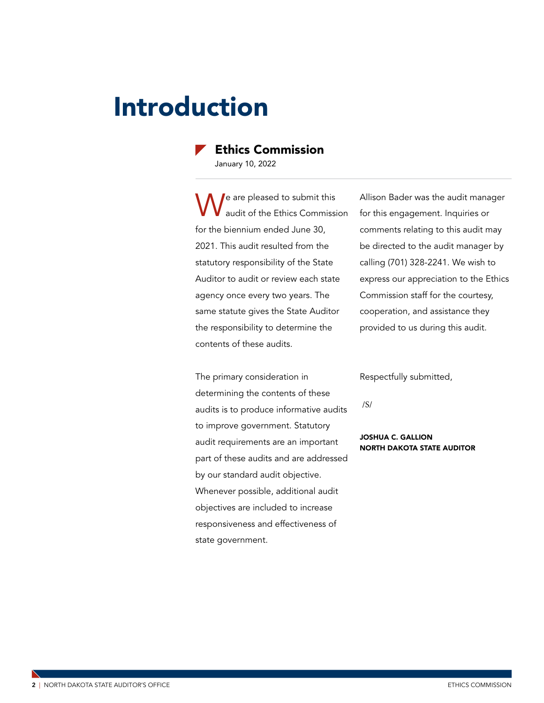## <span id="page-3-0"></span>Introduction

### Ethics Commission

January 10, 2022

e are pleased to submit this audit of the Ethics Commission for the biennium ended June 30, 2021. This audit resulted from the statutory responsibility of the State Auditor to audit or review each state agency once every two years. The same statute gives the State Auditor the responsibility to determine the contents of these audits.

The primary consideration in determining the contents of these audits is to produce informative audits to improve government. Statutory audit requirements are an important part of these audits and are addressed by our standard audit objective. Whenever possible, additional audit objectives are included to increase responsiveness and effectiveness of state government.

Allison Bader was the audit manager for this engagement. Inquiries or comments relating to this audit may be directed to the audit manager by calling (701) 328-2241. We wish to express our appreciation to the Ethics Commission staff for the courtesy, cooperation, and assistance they provided to us during this audit.

Respectfully submitted,

/S/

#### JOSHUA C. GALLION NORTH DAKOTA STATE AUDITOR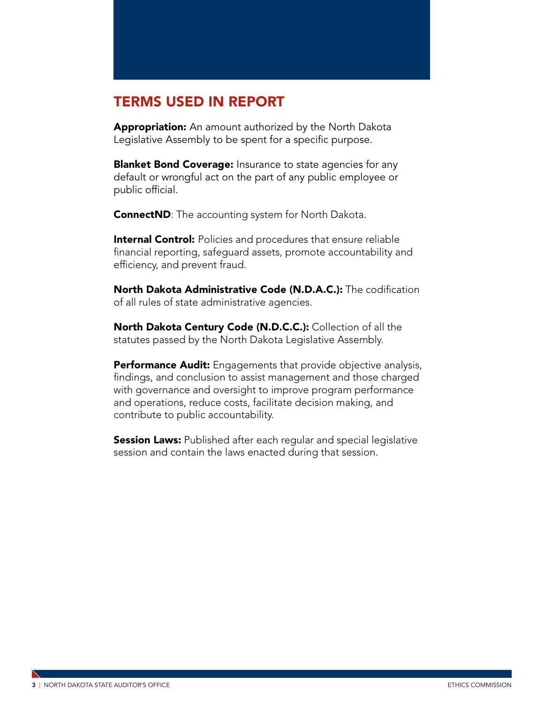### TERMS USED IN REPORT

Appropriation: An amount authorized by the North Dakota Legislative Assembly to be spent for a specific purpose.

**Blanket Bond Coverage:** Insurance to state agencies for any default or wrongful act on the part of any public employee or public official.

**ConnectND**: The accounting system for North Dakota.

**Internal Control:** Policies and procedures that ensure reliable financial reporting, safeguard assets, promote accountability and efficiency, and prevent fraud.

North Dakota Administrative Code (N.D.A.C.): The codification of all rules of state administrative agencies.

North Dakota Century Code (N.D.C.C.): Collection of all the statutes passed by the North Dakota Legislative Assembly.

**Performance Audit:** Engagements that provide objective analysis, findings, and conclusion to assist management and those charged with governance and oversight to improve program performance and operations, reduce costs, facilitate decision making, and contribute to public accountability.

**Session Laws:** Published after each regular and special legislative session and contain the laws enacted during that session.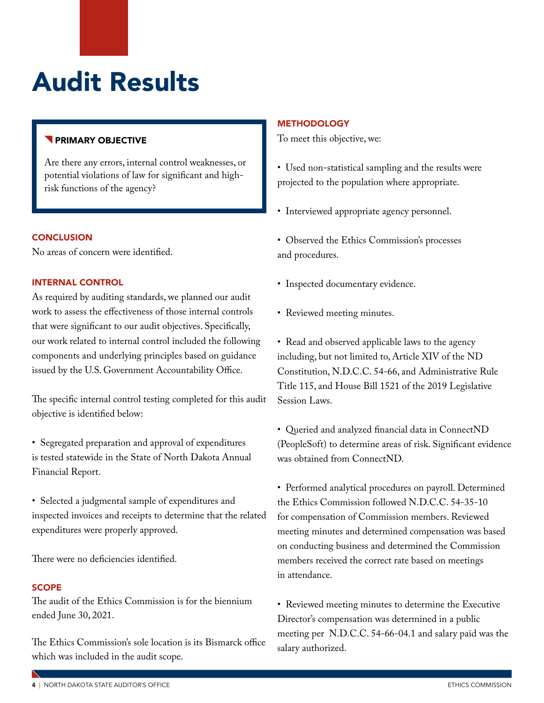# <span id="page-5-0"></span>Audit Results

### **PRIMARY OBJECTIVE**

Are there any errors, internal control weaknesses, or potential violations of law for significant and highrisk functions of the agency?

### **CONCLUSION**

No areas of concern were identified.

### INTERNAL CONTROL

As required by auditing standards, we planned our audit work to assess the effectiveness of those internal controls that were significant to our audit objectives. Specifically, our work related to internal control included the following components and underlying principles based on guidance issued by the U.S. Government Accountability Office.

The specific internal control testing completed for this audit objective is identified below:

- Segregated preparation and approval of expenditures is tested statewide in the State of North Dakota Annual Financial Report.
- Selected a judgmental sample of expenditures and inspected invoices and receipts to determine that the related expenditures were properly approved.

There were no deficiencies identified.

### **SCOPE**

The audit of the Ethics Commission is for the biennium ended June 30, 2021.

The Ethics Commission's sole location is its Bismarck office which was included in the audit scope.

#### **METHODOLOGY**

To meet this objective, we:

• Used non-statistical sampling and the results were projected to the population where appropriate.

- Interviewed appropriate agency personnel.
- Observed the Ethics Commission's processes and procedures.
- Inspected documentary evidence.
- Reviewed meeting minutes.

• Read and observed applicable laws to the agency including, but not limited to, Article XIV of the ND Constitution, N.D.C.C. 54-66, and Administrative Rule Title 115, and House Bill 1521 of the 2019 Legislative Session Laws.

• Queried and analyzed financial data in ConnectND (PeopleSoft) to determine areas of risk. Significant evidence was obtained from ConnectND.

• Performed analytical procedures on payroll. Determined the Ethics Commission followed N.D.C.C. 54-35-10 for compensation of Commission members. Reviewed meeting minutes and determined compensation was based on conducting business and determined the Commission members received the correct rate based on meetings in attendance.

• Reviewed meeting minutes to determine the Executive Director's compensation was determined in a public meeting per N.D.C.C. 54-66-04.1 and salary paid was the salary authorized.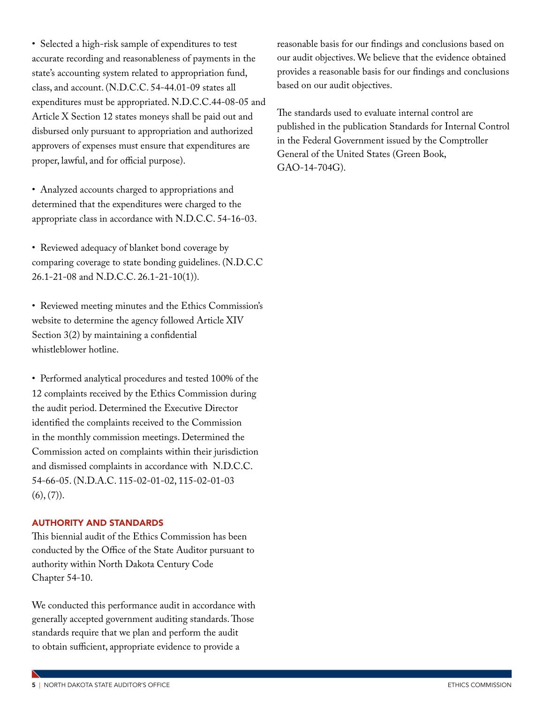• Selected a high-risk sample of expenditures to test accurate recording and reasonableness of payments in the state's accounting system related to appropriation fund, class, and account. (N.D.C.C. 54-44.01-09 states all expenditures must be appropriated. N.D.C.C.44-08-05 and Article X Section 12 states moneys shall be paid out and disbursed only pursuant to appropriation and authorized approvers of expenses must ensure that expenditures are proper, lawful, and for official purpose).

• Analyzed accounts charged to appropriations and determined that the expenditures were charged to the appropriate class in accordance with N.D.C.C. 54-16-03.

• Reviewed adequacy of blanket bond coverage by comparing coverage to state bonding guidelines. (N.D.C.C 26.1-21-08 and N.D.C.C. 26.1-21-10(1)).

• Reviewed meeting minutes and the Ethics Commission's website to determine the agency followed Article XIV Section 3(2) by maintaining a confidential whistleblower hotline.

• Performed analytical procedures and tested 100% of the 12 complaints received by the Ethics Commission during the audit period. Determined the Executive Director identified the complaints received to the Commission in the monthly commission meetings. Determined the Commission acted on complaints within their jurisdiction and dismissed complaints in accordance with N.D.C.C. 54-66-05. (N.D.A.C. 115-02-01-02, 115-02-01-03  $(6), (7)$ .

### AUTHORITY AND STANDARDS

This biennial audit of the Ethics Commission has been conducted by the Office of the State Auditor pursuant to authority within North Dakota Century Code Chapter 54-10.

We conducted this performance audit in accordance with generally accepted government auditing standards. Those standards require that we plan and perform the audit to obtain sufficient, appropriate evidence to provide a

reasonable basis for our findings and conclusions based on our audit objectives. We believe that the evidence obtained provides a reasonable basis for our findings and conclusions based on our audit objectives.

The standards used to evaluate internal control are published in the publication Standards for Internal Control in the Federal Government issued by the Comptroller General of the United States (Green Book, GAO-14-704G).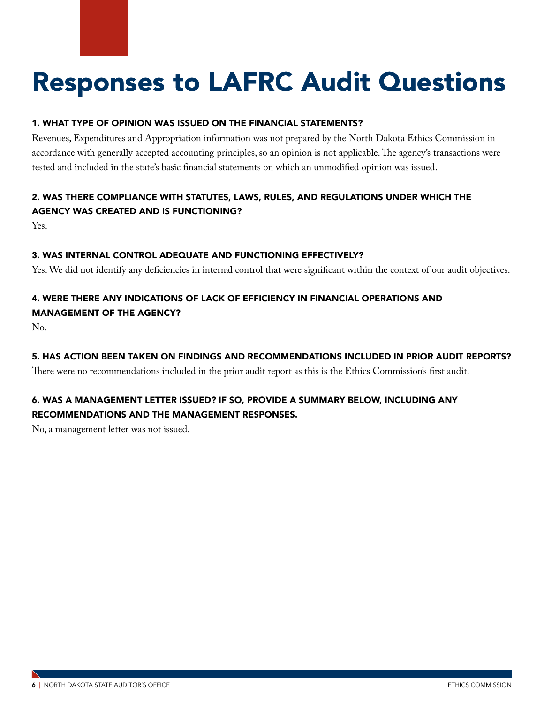# <span id="page-7-0"></span>Responses to LAFRC Audit Questions

### 1. WHAT TYPE OF OPINION WAS ISSUED ON THE FINANCIAL STATEMENTS?

Revenues, Expenditures and Appropriation information was not prepared by the North Dakota Ethics Commission in accordance with generally accepted accounting principles, so an opinion is not applicable. The agency's transactions were tested and included in the state's basic financial statements on which an unmodified opinion was issued.

### 2. WAS THERE COMPLIANCE WITH STATUTES, LAWS, RULES, AND REGULATIONS UNDER WHICH THE AGENCY WAS CREATED AND IS FUNCTIONING?

Yes.

### 3. WAS INTERNAL CONTROL ADEQUATE AND FUNCTIONING EFFECTIVELY?

Yes. We did not identify any deficiencies in internal control that were significant within the context of our audit objectives.

### 4. WERE THERE ANY INDICATIONS OF LACK OF EFFICIENCY IN FINANCIAL OPERATIONS AND MANAGEMENT OF THE AGENCY?

No.

### 5. HAS ACTION BEEN TAKEN ON FINDINGS AND RECOMMENDATIONS INCLUDED IN PRIOR AUDIT REPORTS?

There were no recommendations included in the prior audit report as this is the Ethics Commission's first audit.

### 6. WAS A MANAGEMENT LETTER ISSUED? IF SO, PROVIDE A SUMMARY BELOW, INCLUDING ANY RECOMMENDATIONS AND THE MANAGEMENT RESPONSES.

No, a management letter was not issued.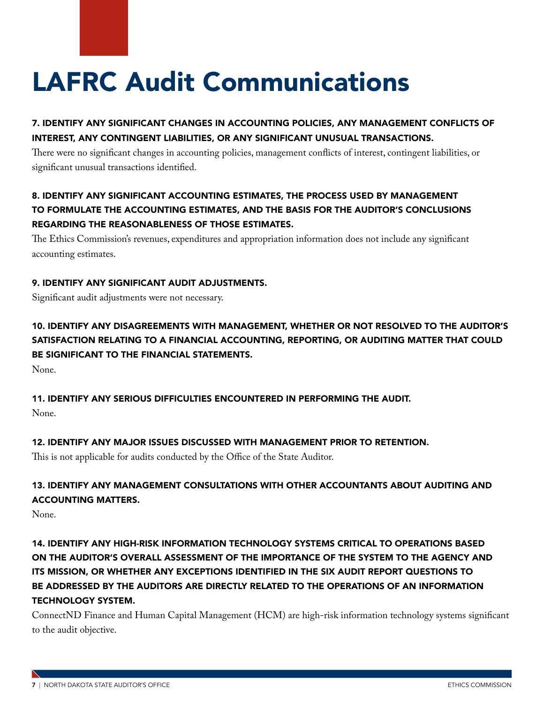# LAFRC Audit Communications

### 7. IDENTIFY ANY SIGNIFICANT CHANGES IN ACCOUNTING POLICIES, ANY MANAGEMENT CONFLICTS OF INTEREST, ANY CONTINGENT LIABILITIES, OR ANY SIGNIFICANT UNUSUAL TRANSACTIONS.

There were no significant changes in accounting policies, management conflicts of interest, contingent liabilities, or significant unusual transactions identified.

### 8. IDENTIFY ANY SIGNIFICANT ACCOUNTING ESTIMATES, THE PROCESS USED BY MANAGEMENT TO FORMULATE THE ACCOUNTING ESTIMATES, AND THE BASIS FOR THE AUDITOR'S CONCLUSIONS REGARDING THE REASONABLENESS OF THOSE ESTIMATES.

The Ethics Commission's revenues, expenditures and appropriation information does not include any significant accounting estimates.

### 9. IDENTIFY ANY SIGNIFICANT AUDIT ADJUSTMENTS.

Significant audit adjustments were not necessary.

10. IDENTIFY ANY DISAGREEMENTS WITH MANAGEMENT, WHETHER OR NOT RESOLVED TO THE AUDITOR'S SATISFACTION RELATING TO A FINANCIAL ACCOUNTING, REPORTING, OR AUDITING MATTER THAT COULD BE SIGNIFICANT TO THE FINANCIAL STATEMENTS.

None.

### 11. IDENTIFY ANY SERIOUS DIFFICULTIES ENCOUNTERED IN PERFORMING THE AUDIT.

None.

### 12. IDENTIFY ANY MAJOR ISSUES DISCUSSED WITH MANAGEMENT PRIOR TO RETENTION.

This is not applicable for audits conducted by the Office of the State Auditor.

### 13. IDENTIFY ANY MANAGEMENT CONSULTATIONS WITH OTHER ACCOUNTANTS ABOUT AUDITING AND ACCOUNTING MATTERS.

None.

### 14. IDENTIFY ANY HIGH-RISK INFORMATION TECHNOLOGY SYSTEMS CRITICAL TO OPERATIONS BASED ON THE AUDITOR'S OVERALL ASSESSMENT OF THE IMPORTANCE OF THE SYSTEM TO THE AGENCY AND ITS MISSION, OR WHETHER ANY EXCEPTIONS IDENTIFIED IN THE SIX AUDIT REPORT QUESTIONS TO BE ADDRESSED BY THE AUDITORS ARE DIRECTLY RELATED TO THE OPERATIONS OF AN INFORMATION TECHNOLOGY SYSTEM.

ConnectND Finance and Human Capital Management (HCM) are high-risk information technology systems significant to the audit objective.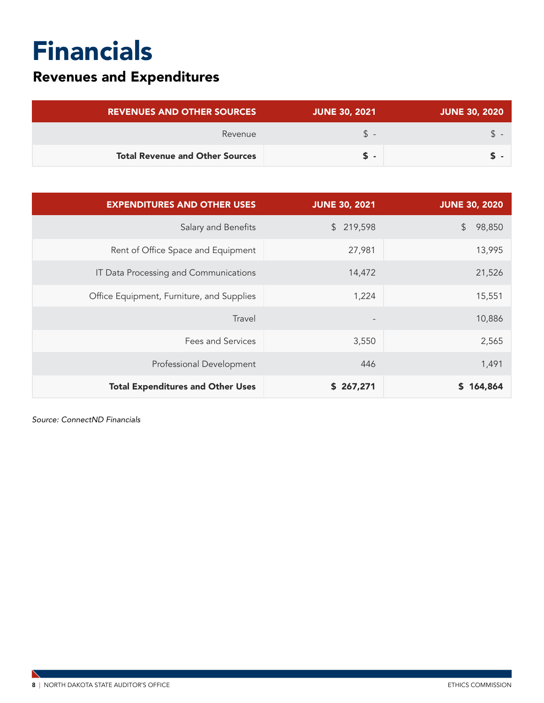## <span id="page-9-0"></span>Financials

### Revenues and Expenditures

| <b>REVENUES AND OTHER SOURCES</b>      | <b>JUNE 30, 2021</b> | <b>JUNE 30, 2020</b> |
|----------------------------------------|----------------------|----------------------|
| Revenue                                | SS.                  |                      |
| <b>Total Revenue and Other Sources</b> | ъ.                   |                      |

| <b>EXPENDITURES AND OTHER USES</b>        | <b>JUNE 30, 2021</b>     | <b>JUNE 30, 2020</b>    |
|-------------------------------------------|--------------------------|-------------------------|
| Salary and Benefits                       | 219,598<br>$\mathsf{\$}$ | $\frac{1}{2}$<br>98,850 |
| Rent of Office Space and Equipment        | 27,981                   | 13,995                  |
| IT Data Processing and Communications     | 14,472                   | 21,526                  |
| Office Equipment, Furniture, and Supplies | 1,224                    | 15,551                  |
| Travel                                    | $\overline{\phantom{a}}$ | 10,886                  |
| <b>Fees and Services</b>                  | 3,550                    | 2,565                   |
| Professional Development                  | 446                      | 1,491                   |
| <b>Total Expenditures and Other Uses</b>  | \$267,271                | \$164,864               |

*Source: ConnectND Financials*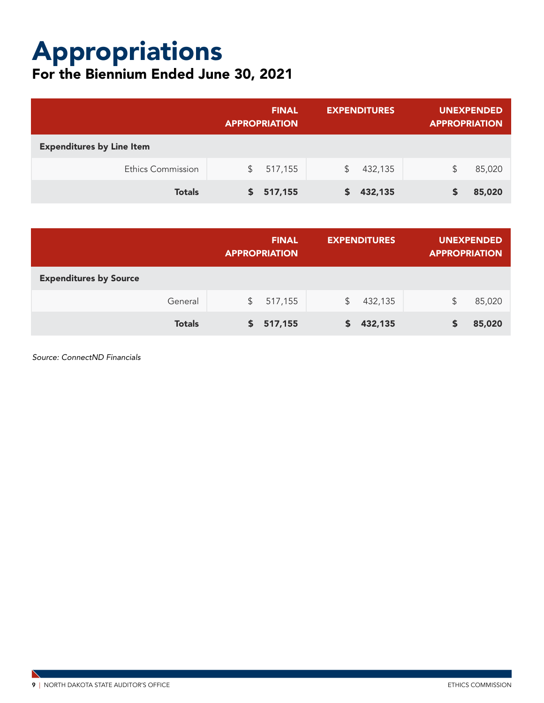## Appropriations

### For the Biennium Ended June 30, 2021

|                                  |    | <b>FINAL</b><br><b>APPROPRIATION</b> | <b>EXPENDITURES</b> |         | <b>UNEXPENDED</b><br><b>APPROPRIATION</b> |        |
|----------------------------------|----|--------------------------------------|---------------------|---------|-------------------------------------------|--------|
| <b>Expenditures by Line Item</b> |    |                                      |                     |         |                                           |        |
| <b>Ethics Commission</b>         | S. | 517,155                              | S.                  | 432,135 | S                                         | 85,020 |
| <b>Totals</b>                    | S. | 517,155                              |                     | 432,135 |                                           | 85,020 |

|                               |               | <b>FINAL</b><br><b>APPROPRIATION</b> |         | <b>EXPENDITURES</b> |         | UNEXPENDED<br><b>APPROPRIATION</b> |        |
|-------------------------------|---------------|--------------------------------------|---------|---------------------|---------|------------------------------------|--------|
| <b>Expenditures by Source</b> |               |                                      |         |                     |         |                                    |        |
|                               | General       | $\mathbb{S}$                         | 517,155 | \$                  | 432,135 | \$                                 | 85,020 |
|                               | <b>Totals</b> |                                      | 517,155 | S.                  | 432,135 |                                    | 85,020 |

*Source: ConnectND Financials*